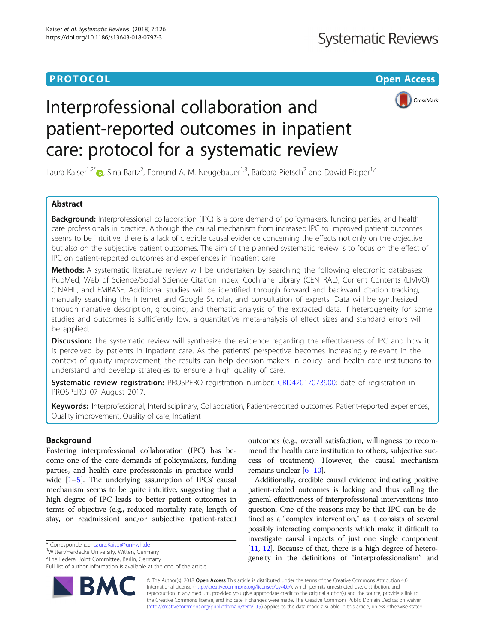# **PROTOCOL CONSUMING THE OPEN ACCESS**



# Interprofessional collaboration and patient-reported outcomes in inpatient care: protocol for a systematic review

Laura Kaiser<sup>1[,](http://orcid.org/0000-0001-9434-9825)2\*</sup> D, Sina Bartz<sup>2</sup>, Edmund A. M. Neugebauer<sup>1,3</sup>, Barbara Pietsch<sup>2</sup> and Dawid Pieper<sup>1,4</sup>

# Abstract

**Background:** Interprofessional collaboration (IPC) is a core demand of policymakers, funding parties, and health care professionals in practice. Although the causal mechanism from increased IPC to improved patient outcomes seems to be intuitive, there is a lack of credible causal evidence concerning the effects not only on the objective but also on the subjective patient outcomes. The aim of the planned systematic review is to focus on the effect of IPC on patient-reported outcomes and experiences in inpatient care.

Methods: A systematic literature review will be undertaken by searching the following electronic databases: PubMed, Web of Science/Social Science Citation Index, Cochrane Library (CENTRAL), Current Contents (LIVIVO), CINAHL, and EMBASE. Additional studies will be identified through forward and backward citation tracking, manually searching the Internet and Google Scholar, and consultation of experts. Data will be synthesized through narrative description, grouping, and thematic analysis of the extracted data. If heterogeneity for some studies and outcomes is sufficiently low, a quantitative meta-analysis of effect sizes and standard errors will be applied.

**Discussion:** The systematic review will synthesize the evidence regarding the effectiveness of IPC and how it is perceived by patients in inpatient care. As the patients' perspective becomes increasingly relevant in the context of quality improvement, the results can help decision-makers in policy- and health care institutions to understand and develop strategies to ensure a high quality of care.

Systematic review registration: PROSPERO registration number: [CRD42017073900](http://www.crd.york.ac.uk/PROSPERO/display_record.php?ID=CRD42017073900); date of registration in PROSPERO 07 August 2017.

Keywords: Interprofessional, Interdisciplinary, Collaboration, Patient-reported outcomes, Patient-reported experiences, Quality improvement, Quality of care, Inpatient

# Background

Fostering interprofessional collaboration (IPC) has become one of the core demands of policymakers, funding parties, and health care professionals in practice worldwide  $[1–5]$  $[1–5]$  $[1–5]$ . The underlying assumption of IPCs' causal mechanism seems to be quite intuitive, suggesting that a high degree of IPC leads to better patient outcomes in terms of objective (e.g., reduced mortality rate, length of stay, or readmission) and/or subjective (patient-rated)

\* Correspondence: [Laura.Kaiser@uni-wh.de](mailto:Laura.Kaiser@uni-wh.de) <sup>1</sup>

Witten/Herdecke University, Witten, Germany

<sup>2</sup>The Federal Joint Committee, Berlin, Germany

Full list of author information is available at the end of the article



outcomes (e.g., overall satisfaction, willingness to recommend the health care institution to others, subjective success of treatment). However, the causal mechanism remains unclear [\[6](#page-5-0)–[10\]](#page-5-0).

Additionally, credible causal evidence indicating positive patient-related outcomes is lacking and thus calling the general effectiveness of interprofessional interventions into question. One of the reasons may be that IPC can be defined as a "complex intervention," as it consists of several possibly interacting components which make it difficult to investigate causal impacts of just one single component [[11](#page-5-0), [12](#page-5-0)]. Because of that, there is a high degree of heterogeneity in the definitions of "interprofessionalism" and

© The Author(s). 2018 Open Access This article is distributed under the terms of the Creative Commons Attribution 4.0 International License [\(http://creativecommons.org/licenses/by/4.0/](http://creativecommons.org/licenses/by/4.0/)), which permits unrestricted use, distribution, and reproduction in any medium, provided you give appropriate credit to the original author(s) and the source, provide a link to the Creative Commons license, and indicate if changes were made. The Creative Commons Public Domain Dedication waiver [\(http://creativecommons.org/publicdomain/zero/1.0/](http://creativecommons.org/publicdomain/zero/1.0/)) applies to the data made available in this article, unless otherwise stated.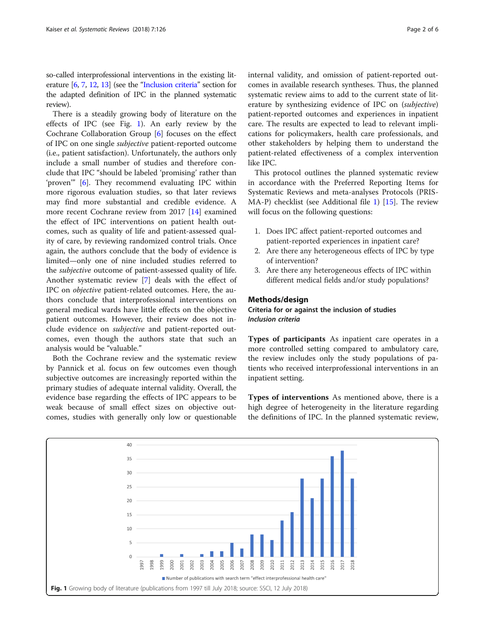so-called interprofessional interventions in the existing literature [\[6](#page-5-0), [7,](#page-5-0) [12](#page-5-0), [13](#page-5-0)] (see the "Inclusion criteria" section for the adapted definition of IPC in the planned systematic review).

There is a steadily growing body of literature on the effects of IPC (see Fig. 1). An early review by the Cochrane Collaboration Group [[6\]](#page-5-0) focuses on the effect of IPC on one single subjective patient-reported outcome (i.e., patient satisfaction). Unfortunately, the authors only include a small number of studies and therefore conclude that IPC "should be labeled 'promising' rather than 'proven'" [[6\]](#page-5-0). They recommend evaluating IPC within more rigorous evaluation studies, so that later reviews may find more substantial and credible evidence. A more recent Cochrane review from 2017 [\[14](#page-5-0)] examined the effect of IPC interventions on patient health outcomes, such as quality of life and patient-assessed quality of care, by reviewing randomized control trials. Once again, the authors conclude that the body of evidence is limited—only one of nine included studies referred to the subjective outcome of patient-assessed quality of life. Another systematic review [\[7\]](#page-5-0) deals with the effect of IPC on objective patient-related outcomes. Here, the authors conclude that interprofessional interventions on general medical wards have little effects on the objective patient outcomes. However, their review does not include evidence on subjective and patient-reported outcomes, even though the authors state that such an analysis would be "valuable."

Both the Cochrane review and the systematic review by Pannick et al. focus on few outcomes even though subjective outcomes are increasingly reported within the primary studies of adequate internal validity. Overall, the evidence base regarding the effects of IPC appears to be weak because of small effect sizes on objective outcomes, studies with generally only low or questionable internal validity, and omission of patient-reported outcomes in available research syntheses. Thus, the planned systematic review aims to add to the current state of literature by synthesizing evidence of IPC on (subjective) patient-reported outcomes and experiences in inpatient care. The results are expected to lead to relevant implications for policymakers, health care professionals, and other stakeholders by helping them to understand the patient-related effectiveness of a complex intervention like IPC.

This protocol outlines the planned systematic review in accordance with the Preferred Reporting Items for Systematic Reviews and meta-analyses Protocols (PRIS-MA-P) checklist (see Additional file [1](#page-4-0)) [\[15](#page-5-0)]. The review will focus on the following questions:

- 1. Does IPC affect patient-reported outcomes and patient-reported experiences in inpatient care?
- 2. Are there any heterogeneous effects of IPC by type of intervention?
- 3. Are there any heterogeneous effects of IPC within different medical fields and/or study populations?

# Methods/design

# Criteria for or against the inclusion of studies Inclusion criteria

Types of participants As inpatient care operates in a more controlled setting compared to ambulatory care, the review includes only the study populations of patients who received interprofessional interventions in an inpatient setting.

Types of interventions As mentioned above, there is a high degree of heterogeneity in the literature regarding the definitions of IPC. In the planned systematic review,

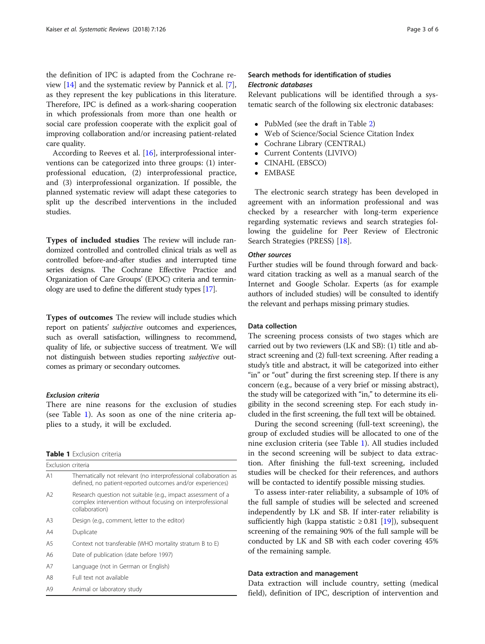the definition of IPC is adapted from the Cochrane review [\[14](#page-5-0)] and the systematic review by Pannick et al. [\[7](#page-5-0)], as they represent the key publications in this literature. Therefore, IPC is defined as a work-sharing cooperation in which professionals from more than one health or social care profession cooperate with the explicit goal of improving collaboration and/or increasing patient-related care quality.

According to Reeves et al. [\[16](#page-5-0)], interprofessional interventions can be categorized into three groups: (1) interprofessional education, (2) interprofessional practice, and (3) interprofessional organization. If possible, the planned systematic review will adapt these categories to split up the described interventions in the included studies.

Types of included studies The review will include randomized controlled and controlled clinical trials as well as controlled before-and-after studies and interrupted time series designs. The Cochrane Effective Practice and Organization of Care Groups' (EPOC) criteria and terminology are used to define the different study types [\[17\]](#page-5-0).

Types of outcomes The review will include studies which report on patients' subjective outcomes and experiences, such as overall satisfaction, willingness to recommend, quality of life, or subjective success of treatment. We will not distinguish between studies reporting subjective outcomes as primary or secondary outcomes.

# Exclusion criteria

There are nine reasons for the exclusion of studies (see Table 1). As soon as one of the nine criteria applies to a study, it will be excluded.

Table 1 Exclusion criteria

| Exclusion criteria |                                                                                                                                              |  |  |
|--------------------|----------------------------------------------------------------------------------------------------------------------------------------------|--|--|
| A <sub>1</sub>     | Thematically not relevant (no interprofessional collaboration as<br>defined, no patient-reported outcomes and/or experiences)                |  |  |
| A2                 | Research question not suitable (e.g., impact assessment of a<br>complex intervention without focusing on interprofessional<br>collaboration) |  |  |
| A <sub>3</sub>     | Design (e.g., comment, letter to the editor)                                                                                                 |  |  |
| A4                 | Duplicate                                                                                                                                    |  |  |
| A5                 | Context not transferable (WHO mortality stratum B to E)                                                                                      |  |  |
| A6                 | Date of publication (date before 1997)                                                                                                       |  |  |
| A7                 | Language (not in German or English)                                                                                                          |  |  |
| A8                 | Full text not available                                                                                                                      |  |  |
| A <sub>9</sub>     | Animal or laboratory study                                                                                                                   |  |  |

# Search methods for identification of studies Electronic databases

Relevant publications will be identified through a systematic search of the following six electronic databases:

- PubMed (see the draft in Table [2](#page-3-0))
- Web of Science/Social Science Citation Index
- Cochrane Library (CENTRAL)<br>• Current Contents (LIVIVO)
- Current Contents (LIVIVO)<br>• CINAHL (EBSCO)
- CINAHL (EBSCO)
- EMBASE

The electronic search strategy has been developed in agreement with an information professional and was checked by a researcher with long-term experience regarding systematic reviews and search strategies following the guideline for Peer Review of Electronic Search Strategies (PRESS) [[18\]](#page-5-0).

# Other sources

Further studies will be found through forward and backward citation tracking as well as a manual search of the Internet and Google Scholar. Experts (as for example authors of included studies) will be consulted to identify the relevant and perhaps missing primary studies.

### Data collection

The screening process consists of two stages which are carried out by two reviewers (LK and SB): (1) title and abstract screening and (2) full-text screening. After reading a study's title and abstract, it will be categorized into either "in" or "out" during the first screening step. If there is any concern (e.g., because of a very brief or missing abstract), the study will be categorized with "in," to determine its eligibility in the second screening step. For each study included in the first screening, the full text will be obtained.

During the second screening (full-text screening), the group of excluded studies will be allocated to one of the nine exclusion criteria (see Table 1). All studies included in the second screening will be subject to data extraction. After finishing the full-text screening, included studies will be checked for their references, and authors will be contacted to identify possible missing studies.

To assess inter-rater reliability, a subsample of 10% of the full sample of studies will be selected and screened independently by LK and SB. If inter-rater reliability is sufficiently high (kappa statistic  $\geq$  0.81 [[19\]](#page-5-0)), subsequent screening of the remaining 90% of the full sample will be conducted by LK and SB with each coder covering 45% of the remaining sample.

# Data extraction and management

Data extraction will include country, setting (medical field), definition of IPC, description of intervention and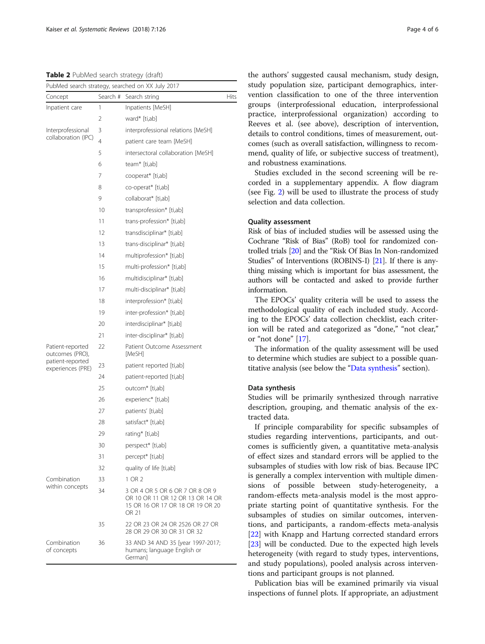<span id="page-3-0"></span>Table 2 PubMed search strategy (draft)

| PubMed search strategy, searched on XX July 2017 |          |                                                                                                                  |      |  |
|--------------------------------------------------|----------|------------------------------------------------------------------------------------------------------------------|------|--|
| Concept                                          | Search # | Search string                                                                                                    | Hits |  |
| Inpatient care                                   | 1        | Inpatients [MeSH]                                                                                                |      |  |
|                                                  | 2        | ward* [ti,ab]                                                                                                    |      |  |
| Interprofessional                                | 3        | interprofessional relations [MeSH]                                                                               |      |  |
| collaboration (IPC)                              | 4        | patient care team [MeSH]                                                                                         |      |  |
|                                                  | 5        | intersectoral collaboration [MeSH]                                                                               |      |  |
|                                                  | 6        | team* [ti,ab]                                                                                                    |      |  |
|                                                  | 7        | cooperat* [ti,ab]                                                                                                |      |  |
|                                                  | 8        | co-operat* [ti,ab]                                                                                               |      |  |
|                                                  | 9        | collaborat* [ti,ab]                                                                                              |      |  |
|                                                  | 10       | transprofession* [ti,ab]                                                                                         |      |  |
|                                                  | 11       | trans-profession* [ti,ab]                                                                                        |      |  |
|                                                  | 12       | transdisciplinar* [ti,ab]                                                                                        |      |  |
|                                                  | 13       | trans-disciplinar* [ti,ab]                                                                                       |      |  |
|                                                  | 14       | multiprofession* [ti,ab]                                                                                         |      |  |
|                                                  | 15       | multi-profession* [ti,ab]                                                                                        |      |  |
|                                                  | 16       | multidisciplinar* [ti,ab]                                                                                        |      |  |
|                                                  | 17       | multi-disciplinar* [ti,ab]                                                                                       |      |  |
|                                                  | 18       | interprofession* [ti,ab]                                                                                         |      |  |
|                                                  | 19       | inter-profession* [ti,ab]                                                                                        |      |  |
|                                                  | 20       | interdisciplinar* [ti,ab]                                                                                        |      |  |
|                                                  | 21       | inter-disciplinar* [ti,ab]                                                                                       |      |  |
| Patient-reported<br>outcomes (PRO),              | 22       | Patient Outcome Assessment<br>[MeSH]                                                                             |      |  |
| patient-reported<br>experiences (PRE)            | 23       | patient reported [ti,ab]                                                                                         |      |  |
|                                                  | 24       | patient-reported [ti,ab]                                                                                         |      |  |
|                                                  | 25       | outcom* [ti,ab]                                                                                                  |      |  |
|                                                  | 26       | experienc* [ti,ab]                                                                                               |      |  |
|                                                  | 27       | patients' [ti,ab]                                                                                                |      |  |
|                                                  | 28       | satisfact* [ti,ab]                                                                                               |      |  |
|                                                  | 29       | rating* [ti,ab]                                                                                                  |      |  |
|                                                  | 30       | perspect* [ti,ab]                                                                                                |      |  |
|                                                  | 31       | percept* [ti,ab]                                                                                                 |      |  |
|                                                  | 32       | quality of life [ti,ab]                                                                                          |      |  |
| Combination                                      | 33       | 1 OR 2                                                                                                           |      |  |
| within concepts                                  | 34       | 3 OR 4 OR 5 OR 6 OR 7 OR 8 OR 9<br>OR 10 OR 11 OR 12 OR 13 OR 14 OR<br>15 OR 16 OR 17 OR 18 OR 19 OR 20<br>OR 21 |      |  |
|                                                  | 35       | 22 OR 23 OR 24 OR 2526 OR 27 OR<br>28 OR 29 OR 30 OR 31 OR 32                                                    |      |  |
| Combination<br>of concepts                       | 36       | 33 AND 34 AND 35 [year 1997-2017;<br>humans; language English or<br>Germanl                                      |      |  |

the authors' suggested causal mechanism, study design, study population size, participant demographics, intervention classification to one of the three intervention groups (interprofessional education, interprofessional practice, interprofessional organization) according to Reeves et al. (see above), description of intervention, details to control conditions, times of measurement, outcomes (such as overall satisfaction, willingness to recommend, quality of life, or subjective success of treatment), and robustness examinations.

Studies excluded in the second screening will be recorded in a supplementary appendix. A flow diagram (see Fig. [2](#page-4-0)) will be used to illustrate the process of study selection and data collection.

# Quality assessment

Risk of bias of included studies will be assessed using the Cochrane "Risk of Bias" (RoB) tool for randomized controlled trials [[20](#page-5-0)] and the "Risk Of Bias In Non-randomized Studies" of Interventions (ROBINS-I) [[21](#page-5-0)]. If there is anything missing which is important for bias assessment, the authors will be contacted and asked to provide further information.

The EPOCs' quality criteria will be used to assess the methodological quality of each included study. According to the EPOCs' data collection checklist, each criterion will be rated and categorized as "done," "not clear," or "not done" [[17](#page-5-0)].

The information of the quality assessment will be used to determine which studies are subject to a possible quantitative analysis (see below the "Data synthesis" section).

# Data synthesis

Studies will be primarily synthesized through narrative description, grouping, and thematic analysis of the extracted data.

If principle comparability for specific subsamples of studies regarding interventions, participants, and outcomes is sufficiently given, a quantitative meta-analysis of effect sizes and standard errors will be applied to the subsamples of studies with low risk of bias. Because IPC is generally a complex intervention with multiple dimensions of possible between study-heterogeneity, a random-effects meta-analysis model is the most appropriate starting point of quantitative synthesis. For the subsamples of studies on similar outcomes, interventions, and participants, a random-effects meta-analysis [[22\]](#page-5-0) with Knapp and Hartung corrected standard errors [[23\]](#page-5-0) will be conducted. Due to the expected high levels heterogeneity (with regard to study types, interventions, and study populations), pooled analysis across interventions and participant groups is not planned.

Publication bias will be examined primarily via visual inspections of funnel plots. If appropriate, an adjustment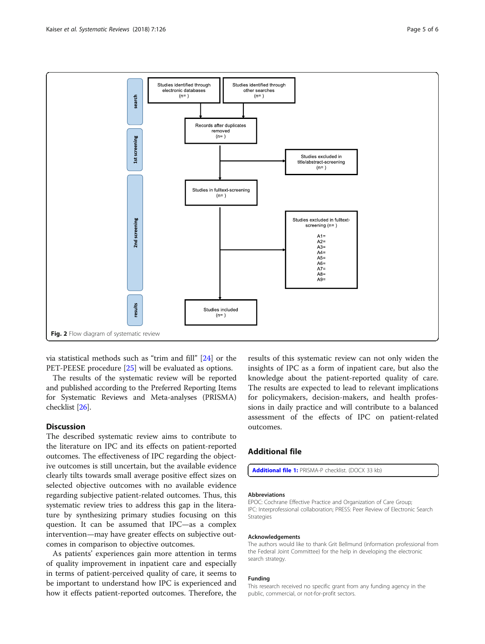<span id="page-4-0"></span>

via statistical methods such as "trim and fill" [\[24\]](#page-5-0) or the PET-PEESE procedure [[25\]](#page-5-0) will be evaluated as options.

The results of the systematic review will be reported and published according to the Preferred Reporting Items for Systematic Reviews and Meta-analyses (PRISMA) checklist [\[26\]](#page-5-0).

# **Discussion**

The described systematic review aims to contribute to the literature on IPC and its effects on patient-reported outcomes. The effectiveness of IPC regarding the objective outcomes is still uncertain, but the available evidence clearly tilts towards small average positive effect sizes on selected objective outcomes with no available evidence regarding subjective patient-related outcomes. Thus, this systematic review tries to address this gap in the literature by synthesizing primary studies focusing on this question. It can be assumed that IPC—as a complex intervention—may have greater effects on subjective outcomes in comparison to objective outcomes.

As patients' experiences gain more attention in terms of quality improvement in inpatient care and especially in terms of patient-perceived quality of care, it seems to be important to understand how IPC is experienced and how it effects patient-reported outcomes. Therefore, the

results of this systematic review can not only widen the insights of IPC as a form of inpatient care, but also the knowledge about the patient-reported quality of care. The results are expected to lead to relevant implications for policymakers, decision-makers, and health professions in daily practice and will contribute to a balanced assessment of the effects of IPC on patient-related outcomes.

# Additional file

[Additional file 1:](https://doi.org/10.1186/s13643-018-0797-3) PRISMA-P checklist. (DOCX 33 kb)

#### Abbreviations

EPOC: Cochrane Effective Practice and Organization of Care Group; IPC: Interprofessional collaboration; PRESS: Peer Review of Electronic Search Strategies

#### Acknowledgements

The authors would like to thank Grit Bellmund (information professional from the Federal Joint Committee) for the help in developing the electronic search strategy

#### Funding

This research received no specific grant from any funding agency in the public, commercial, or not-for-profit sectors.